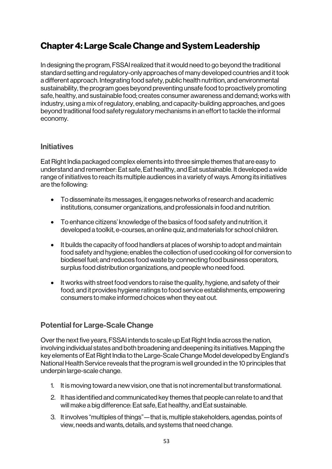# Chapter 4: Large Scale Change and System Leadership

In designing the program, FSSAI realized that it would need to go beyond the traditional standard setting and regulatory-only approaches of many developed countries and it took a different approach. Integrating food safety, public health nutrition, and environmental sustainability, the program goes beyond preventing unsafe food to proactively promoting safe, healthy, and sustainable food; creates consumer awareness and demand; works with industry, using a mix of regulatory, enabling, and capacity-building approaches, and goes beyond traditional food safety regulatory mechanisms in an effort to tackle the informal economy.

#### **Initiatives**

Eat Right India packaged complex elements into three simple themes that are easy to understand and remember: Eat safe, Eat healthy, and Eat sustainable. It developed a wide range of initiatives to reach its multiple audiences in a variety of ways. Among its initiatives are the following:

- To disseminate its messages, it engages networks of research and academic institutions, consumer organizations, and professionals in food and nutrition.
- To enhance citizens' knowledge of the basics of food safety and nutrition, it developed a toolkit, e-courses, an online quiz, and materials for school children.
- It builds the capacity of food handlers at places of worship to adopt and maintain food safety and hygiene; enables the collection of used cooking oil for conversion to biodiesel fuel; and reduces food waste by connecting food business operators, surplus food distribution organizations, and people who need food.
- It works with street food vendors to raise the quality, hygiene, and safety of their food; and it provides hygiene ratings to food service establishments, empowering consumers to make informed choices when they eat out.

## Potential for Large-Scale Change

Over the next five years, FSSAI intends to scale up Eat Right India across the nation, involving individual states and both broadening and deepening its initiatives. Mapping the key elements of Eat Right India to the Large-Scale Change Model developed by England's National Health Service reveals that the program is well grounded in the 10 principles that underpin large-scale change.

- 1. It is moving toward a new vision, one that is not incremental but transformational.
- 2. It has identified and communicated key themes that people can relate to and that will make a big difference: Eat safe, Eat healthy, and Eat sustainable.
- 3. It involves "multiples of things"—that is, multiple stakeholders, agendas, points of view, needs and wants, details, and systems that need change.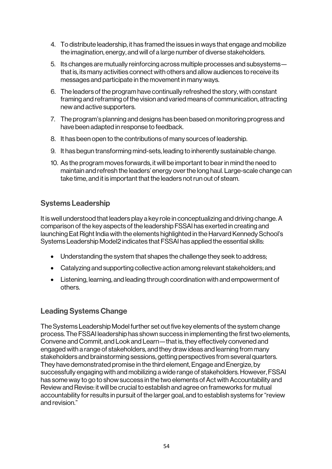- 4. To distribute leadership, it has framed the issues in ways that engage and mobilize the imagination, energy, and will of a large number of diverse stakeholders.
- 5. Its changes are mutually reinforcing across multiple processes and subsystems that is, its many activities connect with others and allow audiences to receive its messages and participate in the movement in many ways.
- 6. The leaders of the program have continually refreshed the story, with constant framing and reframing of the vision and varied means of communication, attracting new and active supporters.
- 7. The program's planning and designs has been based on monitoring progress and have been adapted in response to feedback.
- 8. It has been open to the contributions of many sources of leadership.
- 9. It has begun transforming mind-sets, leading to inherently sustainable change.
- 10. As the program moves forwards, it will be important to bear in mind the need to maintain and refresh the leaders' energy over the long haul. Large-scale change can take time, and it is important that the leaders not run out of steam.

#### Systems Leadership

It is well understood that leaders play a key role in conceptualizing and driving change. A comparison of the key aspects of the leadership FSSAI has exerted in creating and launching Eat Right India with the elements highlighted in the Harvard Kennedy School's Systems Leadership Model2 indicates that FSSAI has applied the essential skills:

- Understanding the system that shapes the challenge they seek to address;
- Catalyzing and supporting collective action among relevant stakeholders; and
- Listening, learning, and leading through coordination with and empowerment of others.

#### Leading Systems Change

The Systems Leadership Model further set out five key elements of the system change process. The FSSAI leadership has shown success in implementing the first two elements, Convene and Commit, and Look and Learn—that is, they effectively convened and engaged with a range of stakeholders, and they draw ideas and learning from many stakeholders and brainstorming sessions, getting perspectives from several quarters. They have demonstrated promise in the third element, Engage and Energize, by successfully engaging with and mobilizing a wide range of stakeholders. However, FSSAI has some way to go to show success in the two elements of Act with Accountability and Review and Revise: it will be crucial to establish and agree on frameworks for mutual accountability for results in pursuit of the larger goal, and to establish systems for "review and revision."